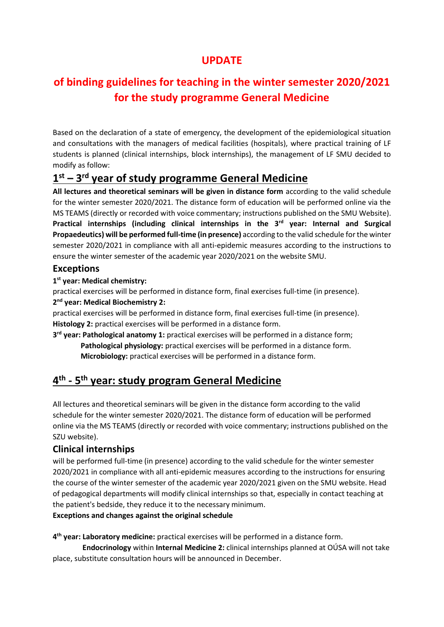### **UPDATE**

# **of binding guidelines for teaching in the winter semester 2020/2021 for the study programme General Medicine**

Based on the declaration of a state of emergency, the development of the epidemiological situation and consultations with the managers of medical facilities (hospitals), where practical training of LF students is planned (clinical internships, block internships), the management of LF SMU decided to modify as follow:

### **1 st – 3 rd year of study programme General Medicine**

**All lectures and theoretical seminars will be given in distance form** according to the valid schedule for the winter semester 2020/2021. The distance form of education will be performed online via the MS TEAMS (directly or recorded with voice commentary; instructions published on the SMU Website). **Practical internships (including clinical internships in the 3rd year: Internal and Surgical Propaedeutics) will be performed full-time (in presence)** according to the valid schedule for the winter semester 2020/2021 in compliance with all anti-epidemic measures according to the instructions to ensure the winter semester of the academic year 2020/2021 on the website SMU.

#### **Exceptions**

**1 st year: Medical chemistry:**

practical exercises will be performed in distance form, final exercises full-time (in presence). **2 nd year: Medical Biochemistry 2:**

practical exercises will be performed in distance form, final exercises full-time (in presence). **Histology 2:** practical exercises will be performed in a distance form.

**3 rd year: Pathological anatomy 1:** practical exercises will be performed in a distance form;  **Pathological physiology:** practical exercises will be performed in a distance form.  **Microbiology:** practical exercises will be performed in a distance form.

## **4 th - 5 th year: study program General Medicine**

All lectures and theoretical seminars will be given in the distance form according to the valid schedule for the winter semester 2020/2021. The distance form of education will be performed online via the MS TEAMS (directly or recorded with voice commentary; instructions published on the SZU website).

#### **Clinical internships**

will be performed full-time (in presence) according to the valid schedule for the winter semester 2020/2021 in compliance with all anti-epidemic measures according to the instructions for ensuring the course of the winter semester of the academic year 2020/2021 given on the SMU website. Head of pedagogical departments will modify clinical internships so that, especially in contact teaching at the patient's bedside, they reduce it to the necessary minimum.

#### **Exceptions and changes against the original schedule**

**4 th year: Laboratory medicine:** practical exercises will be performed in a distance form.

 **Endocrinology** within **Internal Medicine 2:** clinical internships planned at OÚSA will not take place, substitute consultation hours will be announced in December.